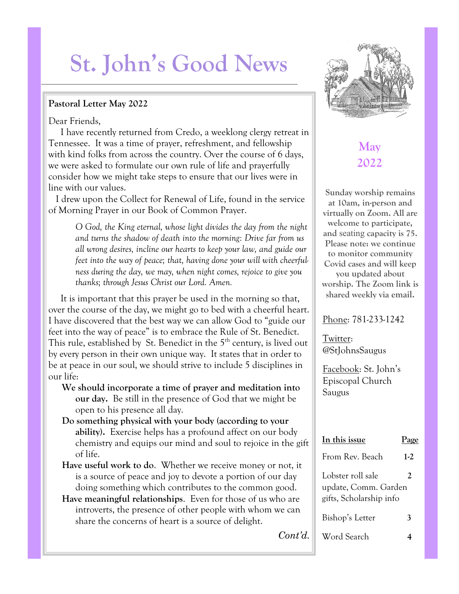# **St. John's Good News**

#### **Pastoral Letter May 2022**

Dear Friends,

 I have recently returned from Credo, a weeklong clergy retreat in Tennessee. It was a time of prayer, refreshment, and fellowship with kind folks from across the country. Over the course of 6 days, we were asked to formulate our own rule of life and prayerfully consider how we might take steps to ensure that our lives were in line with our values.

 I drew upon the Collect for Renewal of Life, found in the service of Morning Prayer in our Book of Common Prayer.

> *O God, the King eternal, whose light divides the day from the night and turns the shadow of death into the morning: Drive far from us all wrong desires, incline our hearts to keep your law, and guide our feet into the way of peace; that, having done your will with cheerfulness during the day, we may, when night comes, rejoice to give you thanks; through Jesus Christ our Lord. Amen.*

It is important that this prayer be used in the morning so that, over the course of the day, we might go to bed with a cheerful heart. I have discovered that the best way we can allow God to "guide our feet into the way of peace" is to embrace the Rule of St. Benedict. This rule, established by St. Benedict in the 5<sup>th</sup> century, is lived out by every person in their own unique way. It states that in order to be at peace in our soul, we should strive to include 5 disciplines in our life:

- **We should incorporate a time of prayer and meditation into our day.** Be still in the presence of God that we might be open to his presence all day.
- **Do something physical with your body (according to your ability).** Exercise helps has a profound affect on our body chemistry and equips our mind and soul to rejoice in the gift of life.
- **Have useful work to do**. Whether we receive money or not, it is a source of peace and joy to devote a portion of our day doing something which contributes to the common good.
- **Have meaningful relationships**. Even for those of us who are introverts, the presence of other people with whom we can share the concerns of heart is a source of delight.



# **May 2022**

**Sunday worship remains at 10am, in-person and virtually on Zoom. All are welcome to participate, and** seating **capacity is 75. Please note: we continue to monitor community Covid cases and will keep you updated about worship. The Zoom link is shared weekly via email.** 

#### Phone: 781-233-1242

Twitter: @StJohnsSaugus

Facebook: St. John's Episcopal Church Saugus

| In this issue                                                        | Pas   |
|----------------------------------------------------------------------|-------|
| From Rev. Beach                                                      | $1-2$ |
| Lobster roll sale<br>update, Comm. Garden<br>gifts, Scholarship info | 2     |
| Bishop's Letter                                                      | 3     |
| Word Search                                                          |       |

*Cont'd.*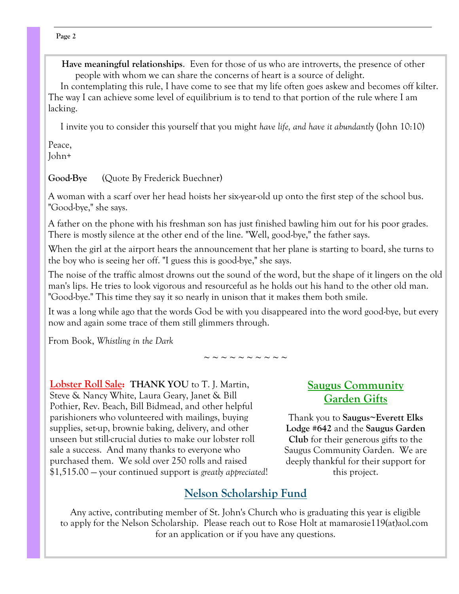**Have meaningful relationships**. Even for those of us who are introverts, the presence of other people with whom we can share the concerns of heart is a source of delight.

 In contemplating this rule, I have come to see that my life often goes askew and becomes off kilter. The way I can achieve some level of equilibrium is to tend to that portion of the rule where I am lacking.

I invite you to consider this yourself that you might *have life, and have it abundantly* (John 10:10)

Peace, John+

**Good-Bye** (Quote By Frederick Buechner)

A woman with a scarf over her head hoists her six-year-old up onto the first step of the school bus. "Good-bye," she says.

A father on the phone with his freshman son has just finished bawling him out for his poor grades. There is mostly silence at the other end of the line. "Well, good-bye," the father says.

When the girl at the airport hears the announcement that her plane is starting to board, she turns to the boy who is seeing her off. "I guess this is good-bye," she says.

The noise of the traffic almost drowns out the sound of the word, but the shape of it lingers on the old man's lips. He tries to look vigorous and resourceful as he holds out his hand to the other old man. "Good-bye." This time they say it so nearly in unison that it makes them both smile.

It was a long while ago that the words God be with you disappeared into the word good-bye, but every now and again some trace of them still glimmers through.

From Book, *Whistling in the Dark*

~ ~ ~ ~ ~ ~ ~ ~ ~ ~

**Lobster Roll Sale: THANK YOU** to T. J. Martin, Steve & Nancy White, Laura Geary, Janet & Bill Pothier, Rev. Beach, Bill Bidmead, and other helpful parishioners who volunteered with mailings, buying supplies, set-up, brownie baking, delivery, and other unseen but still-crucial duties to make our lobster roll sale a success. And many thanks to everyone who purchased them. We sold over 250 rolls and raised \$1,515.00 — your continued support is *greatly appreciated*!

## **Saugus Community Garden Gifts**

Thank you to **Saugus~Everett Elks Lodge #642** and the **Saugus Garden Club** for their generous gifts to the Saugus Community Garden. We are deeply thankful for their support for this project.

# **Nelson Scholarship Fund**

Any active, contributing member of St. John's Church who is graduating this year is eligible to apply for the Nelson Scholarship. Please reach out to Rose Holt at mamarosie119(at)aol.com for an application or if you have any questions.

#### **Page 2**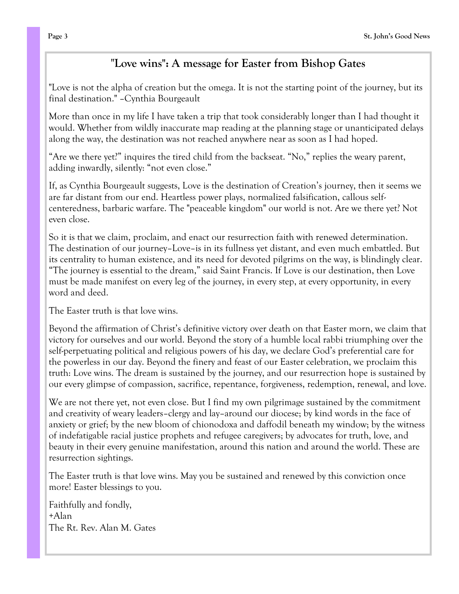## "**Love wins": A message for Easter from Bishop Gates**

"Love is not the alpha of creation but the omega. It is not the starting point of the journey, but its final destination." –Cynthia Bourgeault

More than once in my life I have taken a trip that took considerably longer than I had thought it would. Whether from wildly inaccurate map reading at the planning stage or unanticipated delays along the way, the destination was not reached anywhere near as soon as I had hoped.

"Are we there yet?" inquires the tired child from the backseat. "No," replies the weary parent, adding inwardly, silently: "not even close."

If, as Cynthia Bourgeault suggests, Love is the destination of Creation's journey, then it seems we are far distant from our end. Heartless power plays, normalized falsification, callous selfcenteredness, barbaric warfare. The "peaceable kingdom" our world is not. Are we there yet? Not even close.

So it is that we claim, proclaim, and enact our resurrection faith with renewed determination. The destination of our journey–Love–is in its fullness yet distant, and even much embattled. But its centrality to human existence, and its need for devoted pilgrims on the way, is blindingly clear. "The journey is essential to the dream," said Saint Francis. If Love is our destination, then Love must be made manifest on every leg of the journey, in every step, at every opportunity, in every word and deed.

The Easter truth is that love wins.

Beyond the affirmation of Christ's definitive victory over death on that Easter morn, we claim that victory for ourselves and our world. Beyond the story of a humble local rabbi triumphing over the self-perpetuating political and religious powers of his day, we declare God's preferential care for the powerless in our day. Beyond the finery and feast of our Easter celebration, we proclaim this truth: Love wins. The dream is sustained by the journey, and our resurrection hope is sustained by our every glimpse of compassion, sacrifice, repentance, forgiveness, redemption, renewal, and love.

We are not there yet, not even close. But I find my own pilgrimage sustained by the commitment and creativity of weary leaders–clergy and lay–around our diocese; by kind words in the face of anxiety or grief; by the new bloom of chionodoxa and daffodil beneath my window; by the witness of indefatigable racial justice prophets and refugee caregivers; by advocates for truth, love, and beauty in their every genuine manifestation, around this nation and around the world. These are resurrection sightings.

The Easter truth is that love wins. May you be sustained and renewed by this conviction once more! Easter blessings to you.

Faithfully and fondly, +Alan The Rt. Rev. Alan M. Gates